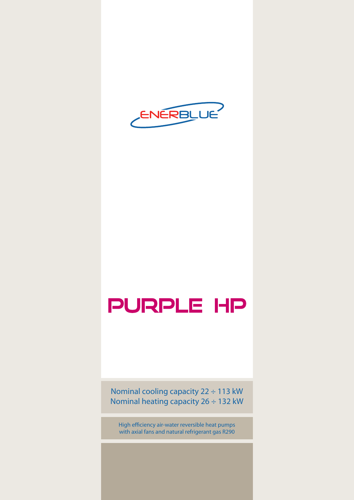

# Purple HP

Nominal cooling capacity 22 ÷ 113 kW Nominal heating capacity 26 ÷ 132 kW

High efficiency air-water reversible heat pumps with axial fans and natural refrigerant gas R290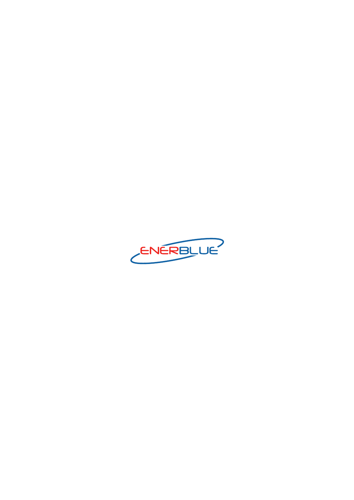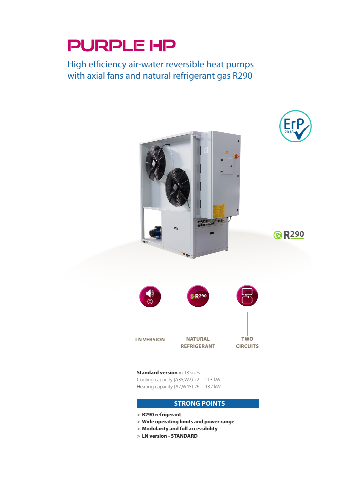## PURPLE HP

High efficiency air-water reversible heat pumps with axial fans and natural refrigerant gas R290



**Standard version** in 13 sizes Cooling capacity (A35;W7) 22 ÷ 113 kW Heating capacity (A7;W45) 26 ÷ 132 kW

### **STRONG POINTS**

- **> R290 refrigerant**
- **> Wide operating limits and power range**
- **> Modularity and full accessibility**
- **> LN version STANDARD**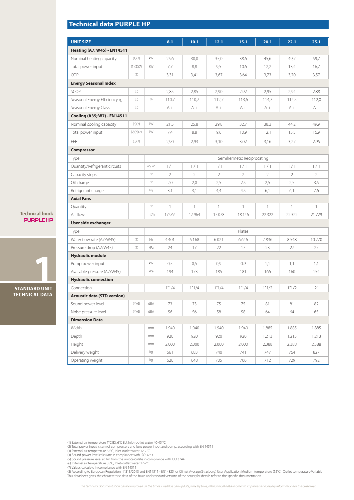## **Technical data PURPLE HP**

| <b>UNIT SIZE</b>                   |           |                       | 8.1            | 10.1           | 12.1           | 15.1                       | 20.1           | 22.1           | 25.1           |
|------------------------------------|-----------|-----------------------|----------------|----------------|----------------|----------------------------|----------------|----------------|----------------|
| <b>Heating (A7; W45) - EN14511</b> |           |                       |                |                |                |                            |                |                |                |
| Nominal heating capacity           | (1)(7)    | kW                    | 25,6           | 30,0           | 35,0           | 38,6                       | 45,6           | 49,7           | 59,7           |
| Total power input                  | (1)(2)(7) | kW                    | 7,7            | 8,8            | 9,5            | 10,6                       | 12,2           | 13,4           | 16,7           |
| COP                                | (1)       |                       | 3,31           | 3,41           | 3,67           | 3,64                       | 3,73           | 3,70           | 3,57           |
| <b>Energy Seasonal Index</b>       |           |                       |                |                |                |                            |                |                |                |
| SCOP                               | (8)       |                       | 2,85           | 2,85           | 2,90           | 2,92                       | 2,95           | 2,94           | 2,88           |
| Seasonal Energy Efficiency η       | (8)       | $\%$                  | 110,7          | 110,7          | 112,7          | 113,6                      | 114,7          | 114,5          | 112,0          |
| Seasonal Energy Class              | (8)       |                       | $A +$          | $A +$          | $A +$          | $A +$                      | $A +$          | $A +$          | $A +$          |
| Cooling (A35; W7) - EN14511        |           |                       |                |                |                |                            |                |                |                |
| Nominal cooling capacity           | (3)(7)    | kW                    | 21,5           | 25,8           | 29,8           | 32,7                       | 38,3           | 44,2           | 49,9           |
| Total power input                  | (2)(3)(7) | kW                    | 7,4            | 8,8            | 9,6            | 10,9                       | 12,1           | 13,5           | 16,9           |
| EER                                | (3)(7)    |                       | 2,90           | 2,93           | 3,10           | 3,02                       | 3,16           | 3,27           | 2,95           |
| <b>Compressor</b>                  |           |                       |                |                |                |                            |                |                |                |
| Type                               |           |                       |                |                |                | Semihermetic Reciprocating |                |                |                |
| Quantity/Refrigerant circuits      |           | $n^{\circ}/n^{\circ}$ | 1/1            | 1/1            | 1/1            | 1/1                        | 1/1            | 1/1            | 1/1            |
| Capacity steps                     |           | $n^{\circ}$           | $\overline{2}$ | $\overline{2}$ | $\overline{2}$ | $\overline{2}$             | $\overline{2}$ | $\overline{2}$ | $\overline{2}$ |
| Oil charge                         |           | $n^{\circ}$           | 2,0            | 2,0            | 2,5            | 2,5                        | 2,5            | 2,5            | 3,5            |
| Refrigerant charge                 |           | kg                    | 3,1            | 3,1            | 4,4            | 4,5                        | 6,1            | 6,1            | 7,6            |
| <b>Axial Fans</b>                  |           |                       |                |                |                |                            |                |                |                |
| Quantity                           |           | $n^{\circ}$           | $\mathbf{1}$   | 1              | $\mathbf{1}$   | 1                          | $\mathbf{1}$   | 1              | 1              |
| Air flow                           |           | $m^3/h$               | 17.964         | 17.964         | 17.078         | 18.146                     | 22.322         | 22.322         | 21.729         |
| User side exchanger                |           |                       |                |                |                |                            |                |                |                |
| Type                               |           |                       |                |                |                | Plates                     |                |                |                |
| Water flow rate (A7/W45)           | (1)       | 1/h                   | 4.401          | 5.168          | 6.021          | 6.646                      | 7.836          | 8.548          | 10.270         |
| Pressure drop (A7/W45)             | (1)       | kPa                   | 24             | 17             | 22             | 17                         | 23             | 27             | 27             |
| <b>Hydraulic module</b>            |           |                       |                |                |                |                            |                |                |                |
| Pump power input                   |           | kW                    | 0,5            | 0,5            | 0,9            | 0,9                        | 1,1            | 1,1            | 1,1            |
| Available pressure (A7/W45)        |           | kPa                   | 194            | 173            | 185            | 181                        | 166            | 160            | 154            |
| <b>Hydraulic connection</b>        |           |                       |                |                |                |                            |                |                |                |
| Connection                         |           |                       | 1"1/4          | 1"1/4          | 1"1/4          | 1"1/4                      | 1"1/2          | 1"1/2          | 2"             |
| <b>Acoustic data (STD version)</b> |           |                       |                |                |                |                            |                |                |                |
| Sound power level                  | (4)(6)    | dBA                   | 73             | 73             | 75             | 75                         | 81             | 81             | 82             |
| Noise pressure level               | (4)(6)    | dBA                   | 56             | 56             | 58             | 58                         | 64             | 64             | 65             |
| <b>Dimension Data</b>              |           |                       |                |                |                |                            |                |                |                |
| Width                              |           | mm                    | 1.940          | 1.940          | 1.940          | 1.940                      | 1.885          | 1.885          | 1.885          |
| Depth                              |           | mm                    | 920            | 920            | 920            | 920                        | 1.213          | 1.213          | 1.213          |
| Height                             |           | mm                    | 2.000          | 2.000          | 2.000          | 2.000                      | 2.388          | 2.388          | 2.388          |
| Delivery weight                    |           | kg                    | 661            | 683            | 740            | 741                        | 747            | 764            | 827            |
| Operating weight                   |           | kg                    | 626            | 648            | 705            | 706                        | 712            | 729            | 792            |

(1) External air temperature 7°C BS, 6°C BU, Inlet-outlet water 40-45 °C<br>(2) Total power input is sum of compressors and funs power input and pump, according with EN 14511<br>(3) External air temperature 35°C, Inlet-outlet wa

(7) Values calculate in compliance with EN 14511<br>(8) According to European Regulation n° 813/2013 and EN14511 - EN14825 for Climat Average(Strasburg) User Application Medium temperature (55°C) Outlet temperature Variable<br>T

**Technical book** purple hp

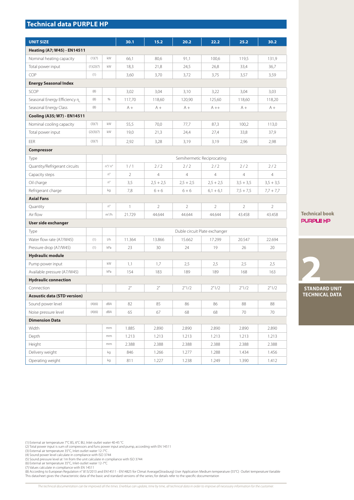## **Technical data PURPLE HP**

| <b>UNIT SIZE</b>                   |           |                       | 30.1           | 15.2           | 20.2           | 22.2                          | 25.2           | 30.2           |  |
|------------------------------------|-----------|-----------------------|----------------|----------------|----------------|-------------------------------|----------------|----------------|--|
| Heating (A7; W45) - EN14511        |           |                       |                |                |                |                               |                |                |  |
| Nominal heating capacity           | (1)(7)    | kW                    | 66,1           | 80,6           | 91,1           | 100,6                         | 119,5          | 131,9          |  |
| Total power input                  | (1)(2)(7) | kW                    | 18,3           | 21,8           | 24,5           | 26,8                          | 33,4           | 36,7           |  |
| COP                                | (1)       |                       | 3,60           | 3,70           | 3,72           | 3,75                          | 3,57           | 3,59           |  |
| <b>Energy Seasonal Index</b>       |           |                       |                |                |                |                               |                |                |  |
| SCOP                               | (8)       |                       | 3,02           | 3,04           | 3,10           | 3,22                          | 3,04           | 3,03           |  |
| Seasonal Energy Efficiency n       | (8)       | $\%$                  | 117,70         | 118,60         | 120,90         | 125,60                        | 118,60         | 118,20         |  |
| Seasonal Energy Class              | (8)       |                       | $A +$          | $A +$          | $A +$          | $A++$                         | $A +$          | $A +$          |  |
| Cooling (A35; W7) - EN14511        |           |                       |                |                |                |                               |                |                |  |
| Nominal cooling capacity           | (3)(7)    | kW                    | 55,5           | 70,0           | 77,7           | 87,3                          | 100,2          | 113,0          |  |
| Total power input                  | (2)(3)(7) | kW                    | 19,0           | 21,3           | 24,4           | 27,4                          | 33,8           | 37,9           |  |
| EER                                | (3)(7)    |                       | 2,92           | 3,28           | 3,19           | 3,19                          | 2,96           | 2,98           |  |
| <b>Compressor</b>                  |           |                       |                |                |                |                               |                |                |  |
| Type                               |           |                       |                |                |                | Semihermetic Reciprocating    |                |                |  |
| Quantity/Refrigerant circuits      |           | $n^{\circ}/n^{\circ}$ | 1/1            | 2/2            | 2/2            | 2/2                           | 2/2            | 2/2            |  |
| Capacity steps                     |           | $n^{\circ}$           | $\overline{2}$ | $\overline{4}$ | $\overline{4}$ | $\overline{4}$                | $\overline{4}$ | $\overline{4}$ |  |
| Oil charge                         |           | $n^{\circ}$           | 3,5            | $2,5 + 2,5$    | $2,5 + 2,5$    | $2,5 + 2,5$                   | $3,5 + 3,5$    | $3,5 + 3,5$    |  |
| Refrigerant charge                 |           | kg                    | 7,8            | $6 + 6$        | $6 + 6$        | $6,1 + 6,1$                   | $7,5 + 7,5$    | $7,7 + 7,7$    |  |
| <b>Axial Fans</b>                  |           |                       |                |                |                |                               |                |                |  |
| Quantity                           |           | $n^{\circ}$           | $\mathbf{1}$   | $\overline{2}$ | $\overline{2}$ | $\overline{2}$                | $\overline{2}$ | $\overline{2}$ |  |
| Air flow                           |           | $m^3/h$               | 21.729         | 44.644         | 44.644         | 44.644                        | 43.458         | 43.458         |  |
| User side exchanger                |           |                       |                |                |                |                               |                |                |  |
| Type                               |           |                       |                |                |                | Duble circuit Plate exchanger |                |                |  |
| Water flow rate (A7/W45)           | (1)       | 1/h                   | 11.364         | 13.866         | 15.662         | 17.299                        | 20.547         | 22.694         |  |
| Pressure drop (A7/W45)             | (1)       | kPa                   | 23             | 30             | 24             | 19                            | 26             | 20             |  |
| <b>Hydraulic module</b>            |           |                       |                |                |                |                               |                |                |  |
| Pump power input                   |           | kW                    | 1,1            | 1,7            | 2,5            | 2,5                           | 2,5            | 2,5            |  |
| Available pressure (A7/W45)        |           | kPa                   | 154            | 183            | 189            | 189                           | 168            | 163            |  |
| <b>Hydraulic connection</b>        |           |                       |                |                |                |                               |                |                |  |
| Connection                         |           |                       | 2"             | 2"             | 2"1/2          | 2"1/2                         | 2"1/2          | 2"1/2          |  |
| <b>Acoustic data (STD version)</b> |           |                       |                |                |                |                               |                |                |  |
| Sound power level                  | (4)(6)    | dBA                   | 82             | 85             | 86             | 86                            | 88             | 88             |  |
| Noise pressure level               | (4)(6)    | dBA                   | 65             | 67             | 68             | 68                            | 70             | 70             |  |
| <b>Dimension Data</b>              |           |                       |                |                |                |                               |                |                |  |
| Width                              |           | mm                    | 1.885          | 2.890          | 2.890          | 2.890                         | 2.890          | 2.890          |  |
| Depth                              |           | mm                    | 1.213          | 1.213          | 1.213          | 1.213                         | 1.213          | 1.213          |  |
| Height                             |           | mm                    | 2.388          | 2.388          | 2.388          | 2.388                         | 2.388          | 2.388          |  |
| Delivery weight                    |           | kg                    | 846            | 1.266          | 1.277          | 1.288                         | 1.434          | 1.456          |  |
| Operating weight                   |           | kg                    | 811            | 1.227          | 1.238          | 1.249                         | 1.390          | 1.412          |  |

**Technical book** purple HP

**2 STANDARD UNIT TECHNICAL DATA**

(1) External air temperature 7°C BS, 6°C BU, Inlet-outlet water 40-45 °C<br>(2) Total power input is sum of compressors and funs power input and pump, according with EN 14511<br>(3) External air temperature 35°C, Inlet-outlet wa

(7) Values calculate in compliance with EN 14511<br>(8) According to European Regulation n° 813/2013 and EN14511 - EN14825 for Climat Average(Strasburg) User Application Medium temperature (55°C) Outlet temperature Variable<br>T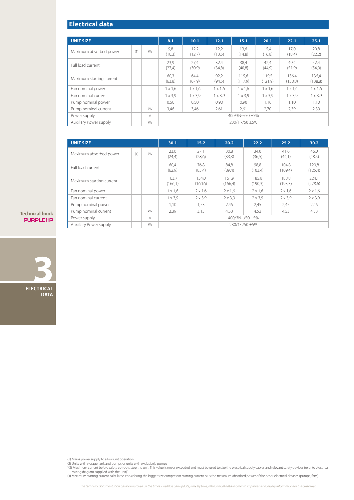## **Electrical data**

| <b>UNIT SIZE</b>         |     |    | 8.1                     | 10.1           | 12.1           | 15.1           | 20.1           | 22.1           | 25.1           |
|--------------------------|-----|----|-------------------------|----------------|----------------|----------------|----------------|----------------|----------------|
|                          |     |    |                         |                |                |                |                |                |                |
| Maximum absorbed power   | (1) | kW | 9,8<br>(10,3)           | 12,2<br>(12,7) | 12,2<br>(13,5) | 13.6<br>(14,8) | 15.4<br>(16,8) | 17.0<br>(18,4) | 20,8<br>(22,2) |
| Full load current        |     |    | 23.9                    | 27.4           | 32.4           | 38.4           | 42.4           | 49.4           | 52,4           |
|                          |     |    | (27,4)                  | (30,9)         | (34,8)         | (40,8)         | (44,9)         | (51,9)         | (54,9)         |
| Maximum starting current |     |    | 60.3                    | 64.4           | 92,2           | 115.6          | 119.5          | 136.4          | 136,4          |
|                          |     |    | (63,8)                  | (67, 9)        | (94,5)         | (117,9)        | (121, 9)       | (138,8)        | (138,8)        |
| Fan nominal power        |     |    | $1 \times 1.6$          | $1 \times 1.6$ | $1 \times 1.6$ | $1 \times 1.6$ | $1 \times 1.6$ | $1 \times 1.6$ | $1 \times 1.6$ |
| Fan nominal current      |     |    | $1 \times 3.9$          | $1 \times 3.9$ | $1 \times 3.9$ | $1 \times 3.9$ | $1 \times 3.9$ | $1 \times 3.9$ | $1 \times 3.9$ |
| Pump nominal power       |     |    | 0,50                    | 0,50           | 0,90           | 0.90           | 1.10           | 1,10           | 1,10           |
| Pump nominal current     |     | kW | 3,46                    | 3,46           | 2,61           | 2,61           | 2.70           | 2,39           | 2,39           |
| Power supply             |     | A  | 400/3N~/50 ±5%          |                |                |                |                |                |                |
| Auxiliary Power supply   |     | kW | $230/1 \sim 50 \pm 5\%$ |                |                |                |                |                |                |

| <b>UNIT SIZE</b>         |     |    | 30.1                    | 15.2             | 20.2              | 22.2             | 25.2             | 30.2             |  |
|--------------------------|-----|----|-------------------------|------------------|-------------------|------------------|------------------|------------------|--|
| Maximum absorbed power   | (1) | kW | 23,0<br>(24,4)          | 27,1<br>(28,6)   | 30.8<br>(33,3)    | 34.0<br>(36,5)   | 41.6<br>(44,1)   | 46.0<br>(48,5)   |  |
| Full load current        |     |    | 60,4<br>(62,9)          | 76,8<br>(83,4)   | 84.8<br>(89,4)    | 98,8<br>(103,4)  | 104.8<br>(109,4) | 120.8<br>(125,4) |  |
| Maximum starting current |     |    | 163,7<br>(166,1)        | 154.0<br>(160,6) | 161.9<br>(166, 4) | 185.8<br>(190,3) | 188.8<br>(193,3) | 224.1<br>(228,6) |  |
| Fan nominal power        |     |    | $1 \times 1.6$          | $2 \times 1.6$   | $2 \times 1.6$    | $2 \times 1.6$   | $2 \times 1.6$   | $2 \times 1.6$   |  |
| Fan nominal current      |     |    | $1 \times 3.9$          | $2 \times 3.9$   | $2 \times 3.9$    | $2 \times 3.9$   | $2 \times 3.9$   | $2 \times 3.9$   |  |
| Pump nominal power       |     |    | 1.10                    | 1.73             | 2,45              | 2,45             | 2,45             | 2,45             |  |
| Pump nominal current     |     | kW | 2,39                    | 3,15             | 4.53              | 4.53             | 4,53             | 4,53             |  |
| Power supply             |     | A  | 400/3N~/50 ±5%          |                  |                   |                  |                  |                  |  |
| Auxiliary Power supply   |     | kW | $230/1 \sim 50 \pm 5\%$ |                  |                   |                  |                  |                  |  |

**Technical book** purple hp



(1) Mains power supply to allow unit operation<br>(2) Units with storage tank and pumps or units with exclusively pumps<br>"(3) Maximum current before safety cut-outs stop the unit. This value is never exceeded and must be used

(4) Maximum starting current calculated considering the bigger size compressor starting current plus the maximum absorbed power of the other electrical devices (pumps, fans)

*The technical documentation can be improved all the times. Enerblue can update, time by time, all technical data in order to improve all necessary information for the customer.*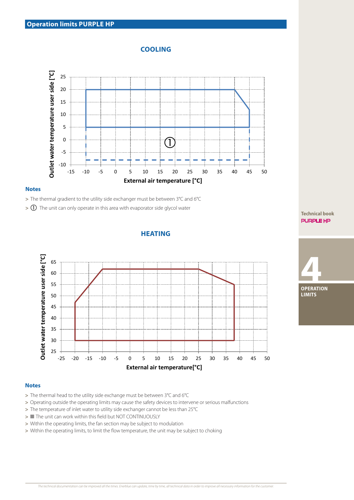## **COOLING**



#### **Notes**

**>** The thermal gradient to the utility side exchanger must be between 3°C and 6°C

**>** The unit can only operate in this area with evaporator side glycol water

## **HEATING**



#### **Notes**

- **>** The thermal head to the utility side exchange must be between 3°C and 6°C
- **>** Operating outside the operating limits may cause the safety devices to intervene or serious malfunctions
- **>** The temperature of inlet water to utility side exchanger cannot be less than 25°C
- **>** The unit can work within this field but NOT CONTINUOUSLY
- **>** Within the operating limits, the fan section may be subject to modulation
- **>** Within the operating limits, to limit the flow temperature, the unit may be subject to choking

#### **Technical book** purple HP